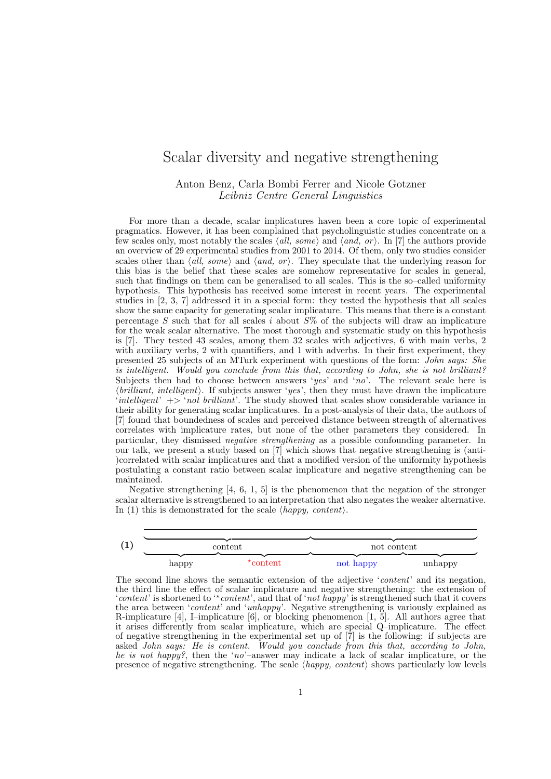## Scalar diversity and negative strengthening

## Anton Benz, Carla Bombi Ferrer and Nicole Gotzner Leibniz Centre General Linguistics

For more than a decade, scalar implicatures haven been a core topic of experimental pragmatics. However, it has been complained that psycholinguistic studies concentrate on a few scales only, most notably the scales  $\langle all, some \rangle$  and  $\langle and, or \rangle$ . In [7] the authors provide an overview of 29 experimental studies from 2001 to 2014. Of them, only two studies consider scales other than  $\langle all, some \rangle$  and  $\langle and, or \rangle$ . They speculate that the underlying reason for this bias is the belief that these scales are somehow representative for scales in general, such that findings on them can be generalised to all scales. This is the so–called uniformity hypothesis. This hypothesis has received some interest in recent years. The experimental studies in [2, 3, 7] addressed it in a special form: they tested the hypothesis that all scales show the same capacity for generating scalar implicature. This means that there is a constant percentage S such that for all scales i about  $\widetilde{S}\%$  of the subjects will draw an implicature for the weak scalar alternative. The most thorough and systematic study on this hypothesis is [7]. They tested 43 scales, among them 32 scales with adjectives, 6 with main verbs, 2 with auxiliary verbs, 2 with quantifiers, and 1 with adverbs. In their first experiment, they presented 25 subjects of an MTurk experiment with questions of the form: John says: She is intelligent. Would you conclude from this that, according to John, she is not brilliant? Subjects then had to choose between answers 'yes' and 'no'. The relevant scale here is  $\{brilliant, intelligent\}$ . If subjects answer 'yes', then they must have drawn the implicature 'intelligent'  $\rightarrow$  'not brilliant'. The study showed that scales show considerable variance in their ability for generating scalar implicatures. In a post-analysis of their data, the authors of [7] found that boundedness of scales and perceived distance between strength of alternatives correlates with implicature rates, but none of the other parameters they considered. In particular, they dismissed negative strengthening as a possible confounding parameter. In our talk, we present a study based on [7] which shows that negative strengthening is (anti- )correlated with scalar implicatures and that a modified version of the uniformity hypothesis postulating a constant ratio between scalar implicature and negative strengthening can be maintained.

Negative strengthening [4, 6, 1, 5] is the phenomenon that the negation of the stronger scalar alternative is strengthened to an interpretation that also negates the weaker alternative. In (1) this is demonstrated for the scale  $\langle happy, \; content \rangle$ .

|       | content | not content |         |  |
|-------|---------|-------------|---------|--|
|       |         |             |         |  |
| happy | content | not happy   | unhappy |  |

The second line shows the semantic extension of the adjective 'content' and its negation, the third line the effect of scalar implicature and negative strengthening: the extension of 'content' is shortened to " $content$ , and that of 'not happy' is strengthened such that it covers the area between '*content*' and 'unhappy'. Negative strengthening is variously explained as R-implicature [4], I–implicature [6], or blocking phenomenon [1, 5]. All authors agree that it arises differently from scalar implicature, which are special Q–implicature. The effect of negative strengthening in the experimental set up of [7] is the following: if subjects are asked John says: He is content. Would you conclude from this that, according to John, he is not happy?, then the 'no'-answer may indicate a lack of scalar implicature, or the presence of negative strengthening. The scale  $\langle \text{happy}, \text{content} \rangle$  shows particularly low levels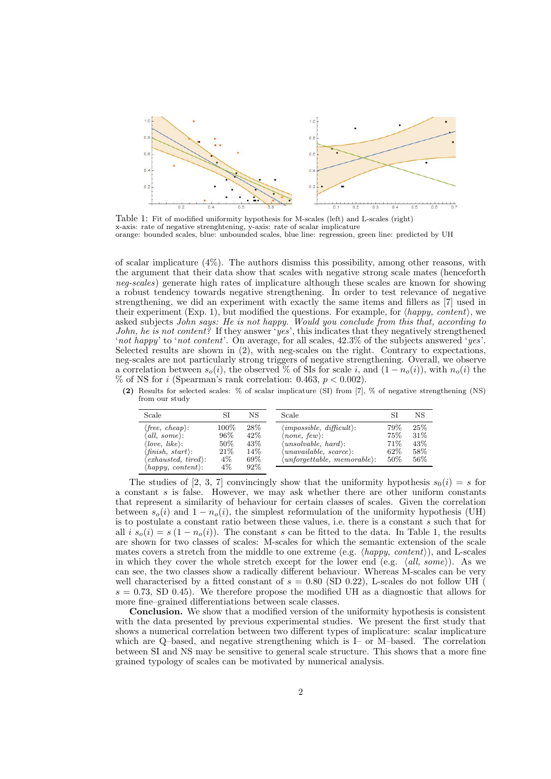

Table 1: Fit of modified uniformity hypothesis for M-scales (left) and L-scales (right) x-axis: rate of negative strenghtening, y-axis: rate of scalar implicature orange: bounded scales, blue: unbounded scales, blue line: regression, green line: predicted by UH

of scalar implicature (4%). The authors dismiss this possibility, among other reasons, with the argument that their data show that scales with negative strong scale mates (henceforth neg-scales) generate high rates of implicature although these scales are known for showing a robust tendency towards negative strengthening. In order to test relevance of negative strengthening, we did an experiment with exactly the same items and fillers as [7] used in their experiment (Exp. 1), but modified the questions. For example, for  $\langle \text{happy}, \text{content} \rangle$ , we asked subjects John says: He is not happy. Would you conclude from this that, according to John, he is not content? If they answer 'yes', this indicates that they negatively strengthened 'not happy' to 'not content'. On average, for all scales,  $42.3\%$  of the subjects answered 'yes'. Selected results are shown in (2), with neg-scales on the right. Contrary to expectations, neg-scales are not particularly strong triggers of negative strengthening. Overall, we observe a correlation between  $s_o(i)$ , the observed % of SIs for scale i, and  $(1 - n_o(i))$ , with  $n_o(i)$  the % of NS for i (Spearman's rank correlation: 0.463,  $p < 0.002$ ).

(2) Results for selected scales: % of scalar implicature (SI) from [7], % of negative strengthening (NS) from our study

| Scale                                                                                                                                                                                                                    | SI                                                 | NS                                          | Scale                                                                                                                                                                                                                               |                                      | NS                                |
|--------------------------------------------------------------------------------------------------------------------------------------------------------------------------------------------------------------------------|----------------------------------------------------|---------------------------------------------|-------------------------------------------------------------------------------------------------------------------------------------------------------------------------------------------------------------------------------------|--------------------------------------|-----------------------------------|
| $\langle free, \ cheap \rangle$ :<br>$'all, some$ :<br>love, like).<br>$\langle \textit{finish}, \textit{start} \rangle$ :<br>$\langle$ exhausted, tired $\rangle$ :<br>$\langle \text{happy}, \text{content} \rangle$ : | $100\%$<br>96%<br>$50\%$<br>21\%<br>$4\%$<br>$4\%$ | 28\%<br>$42\%$<br>43\%<br>14%<br>69%<br>92% | $\langle \text{impossible}, \text{ difficult} \rangle$ :<br>$\langle none, few\rangle$ :<br>$\langle unsolvable, \, hard \rangle$ :<br>$\langle unavailable, \, scarce \rangle$ :<br>$\langle$ unforgettable, memorable $\rangle$ : | 79%<br>75%<br>71\%<br>62\%<br>$50\%$ | 25%<br>31\%<br>43\%<br>58%<br>56% |

The studies of [2, 3, 7] convincingly show that the uniformity hypothesis  $s_0(i) = s$  for a constant s is false. However, we may ask whether there are other uniform constants that represent a similarity of behaviour for certain classes of scales. Given the correlation between  $s_o(i)$  and  $1 - n_o(i)$ , the simplest reformulation of the uniformity hypothesis (UH) is to postulate a constant ratio between these values, i.e. there is a constant s such that for all i  $s_o(i) = s(1 - n_o(i))$ . The constant s can be fitted to the data. In Table 1, the results are shown for two classes of scales: M-scales for which the semantic extension of the scale mates covers a stretch from the middle to one extreme (e.g.  $\langle \text{happy}, \text{content}\rangle$ ), and L-scales in which they cover the whole stretch except for the lower end (e.g.  $\langle all, some \rangle$ ). As we can see, the two classes show a radically different behaviour. Whereas M-scales can be very well characterised by a fitted constant of  $s = 0.80$  (SD 0.22), L-scales do not follow UH  $s = 0.73$ , SD 0.45). We therefore propose the modified UH as a diagnostic that allows for more fine–grained differentiations between scale classes.

Conclusion. We show that a modified version of the uniformity hypothesis is consistent with the data presented by previous experimental studies. We present the first study that shows a numerical correlation between two different types of implicature: scalar implicature which are Q–based, and negative strengthening which is I– or M–based. The correlation between SI and NS may be sensitive to general scale structure. This shows that a more fine grained typology of scales can be motivated by numerical analysis.